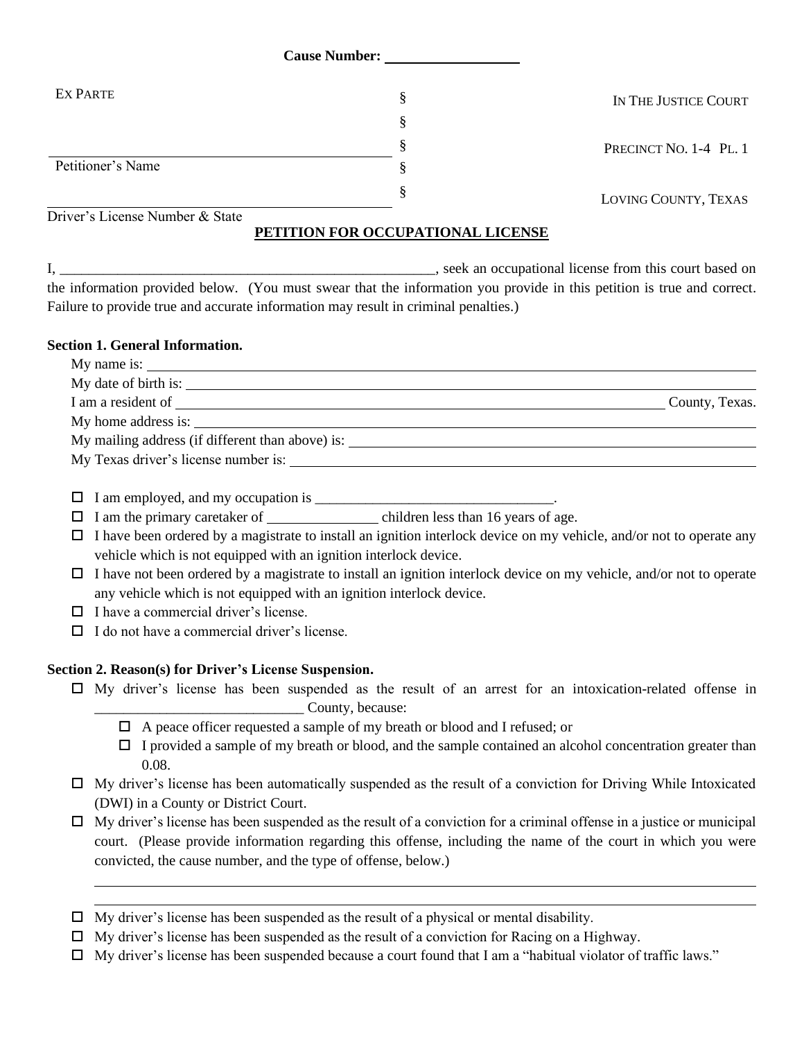| <b>Cause Number:</b>            |  |                        |
|---------------------------------|--|------------------------|
| EX PARTE                        |  | IN THE JUSTICE COURT   |
|                                 |  |                        |
|                                 |  | PRECINCT NO. 1-4 PL. 1 |
| Petitioner's Name               |  |                        |
|                                 |  | LOVING COUNTY, TEXAS   |
| Driver's License Number & State |  |                        |

### **PETITION FOR OCCUPATIONAL LICENSE**

I, \_\_\_\_\_\_\_\_\_\_\_\_\_\_\_\_\_\_\_\_\_\_\_\_\_\_\_\_\_\_\_\_\_\_\_\_\_\_\_\_\_\_\_\_\_\_\_\_\_\_\_\_, seek an occupational license from this court based on the information provided below. (You must swear that the information you provide in this petition is true and correct. Failure to provide true and accurate information may result in criminal penalties.)

### **Section 1. General Information.**

| My date of birth is:                                                              |                |
|-----------------------------------------------------------------------------------|----------------|
|                                                                                   | County, Texas. |
|                                                                                   |                |
| My mailing address (if different than above) is: ________________________________ |                |
| My Texas driver's license number is:                                              |                |
|                                                                                   |                |

 $\Box$  I am employed, and my occupation is  $\Box$ 

- $\Box$  I am the primary caretaker of  $\Box$  children less than 16 years of age.
- $\Box$  I have been ordered by a magistrate to install an ignition interlock device on my vehicle, and/or not to operate any vehicle which is not equipped with an ignition interlock device.
- $\Box$  I have not been ordered by a magistrate to install an ignition interlock device on my vehicle, and/or not to operate any vehicle which is not equipped with an ignition interlock device.
- $\Box$  I have a commercial driver's license.
- $\Pi$  I do not have a commercial driver's license.

### **Section 2. Reason(s) for Driver's License Suspension.**

- $\Box$  My driver's license has been suspended as the result of an arrest for an intoxication-related offense in \_\_\_\_\_\_\_\_\_\_\_\_\_\_\_\_\_\_\_\_\_\_\_\_\_\_\_\_\_ County, because:
	- $\Box$  A peace officer requested a sample of my breath or blood and I refused; or
	- $\Box$  I provided a sample of my breath or blood, and the sample contained an alcohol concentration greater than 0.08.
- $\Box$  My driver's license has been automatically suspended as the result of a conviction for Driving While Intoxicated (DWI) in a County or District Court.
- $\Box$  My driver's license has been suspended as the result of a conviction for a criminal offense in a justice or municipal court. (Please provide information regarding this offense, including the name of the court in which you were convicted, the cause number, and the type of offense, below.)
- $\Box$  My driver's license has been suspended as the result of a physical or mental disability.
- $\Box$  My driver's license has been suspended as the result of a conviction for Racing on a Highway.
- $\Box$  My driver's license has been suspended because a court found that I am a "habitual violator of traffic laws."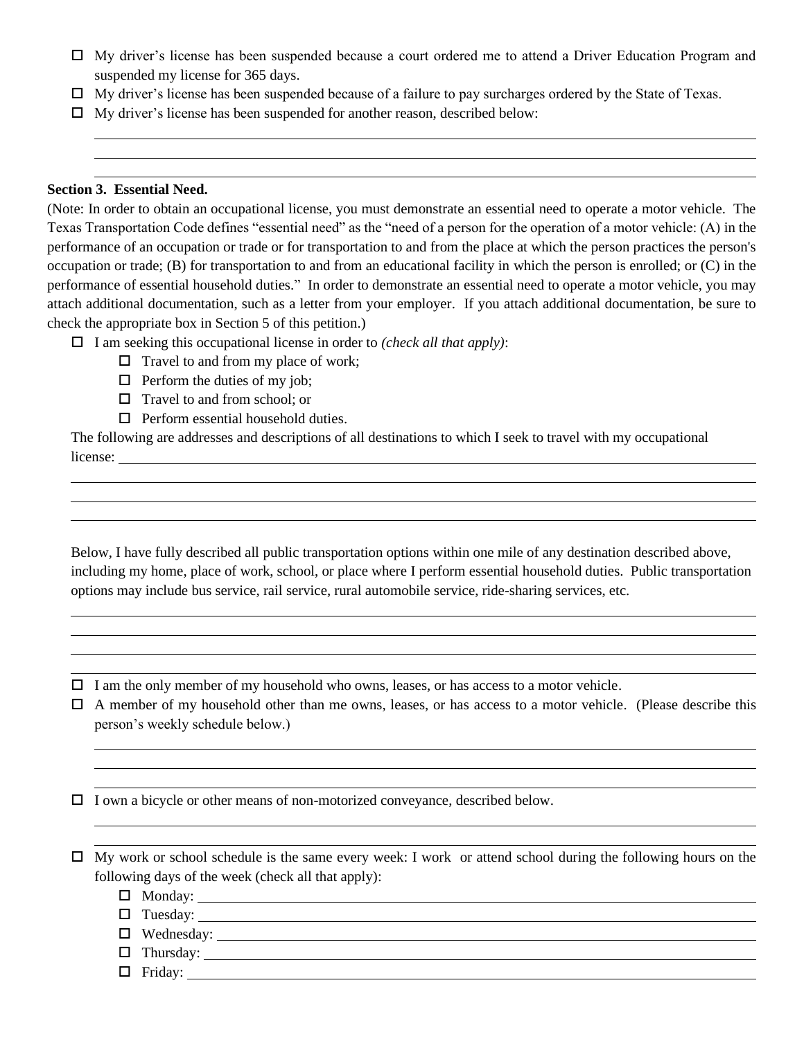- My driver's license has been suspended because a court ordered me to attend a Driver Education Program and suspended my license for 365 days.
- $\Box$  My driver's license has been suspended because of a failure to pay surcharges ordered by the State of Texas.
- $\Box$  My driver's license has been suspended for another reason, described below:

#### **Section 3. Essential Need.**

(Note: In order to obtain an occupational license, you must demonstrate an essential need to operate a motor vehicle. The Texas Transportation Code defines "essential need" as the "need of a person for the operation of a motor vehicle: (A) in the performance of an occupation or trade or for transportation to and from the place at which the person practices the person's occupation or trade; (B) for transportation to and from an educational facility in which the person is enrolled; or (C) in the performance of essential household duties." In order to demonstrate an essential need to operate a motor vehicle, you may attach additional documentation, such as a letter from your employer. If you attach additional documentation, be sure to check the appropriate box in Section 5 of this petition.)

I am seeking this occupational license in order to *(check all that apply)*:

- $\Box$  Travel to and from my place of work;
- $\Box$  Perform the duties of my job;
- $\Box$  Travel to and from school; or
- $\Box$  Perform essential household duties.

The following are addresses and descriptions of all destinations to which I seek to travel with my occupational license:

Below, I have fully described all public transportation options within one mile of any destination described above, including my home, place of work, school, or place where I perform essential household duties. Public transportation options may include bus service, rail service, rural automobile service, ride-sharing services, etc.

 $\Box$  I am the only member of my household who owns, leases, or has access to a motor vehicle.

 $\Box$  A member of my household other than me owns, leases, or has access to a motor vehicle. (Please describe this person's weekly schedule below.)

 $\Box$  I own a bicycle or other means of non-motorized conveyance, described below.

 $\Box$  My work or school schedule is the same every week: I work or attend school during the following hours on the following days of the week (check all that apply):

- $\Box$  Monday:
- Tuesday:
- $\Box$  Wednesday:
- $\Box$  Thursday:  $\_\_\_\_\_\_\_\_\$
- $\Box$  Friday: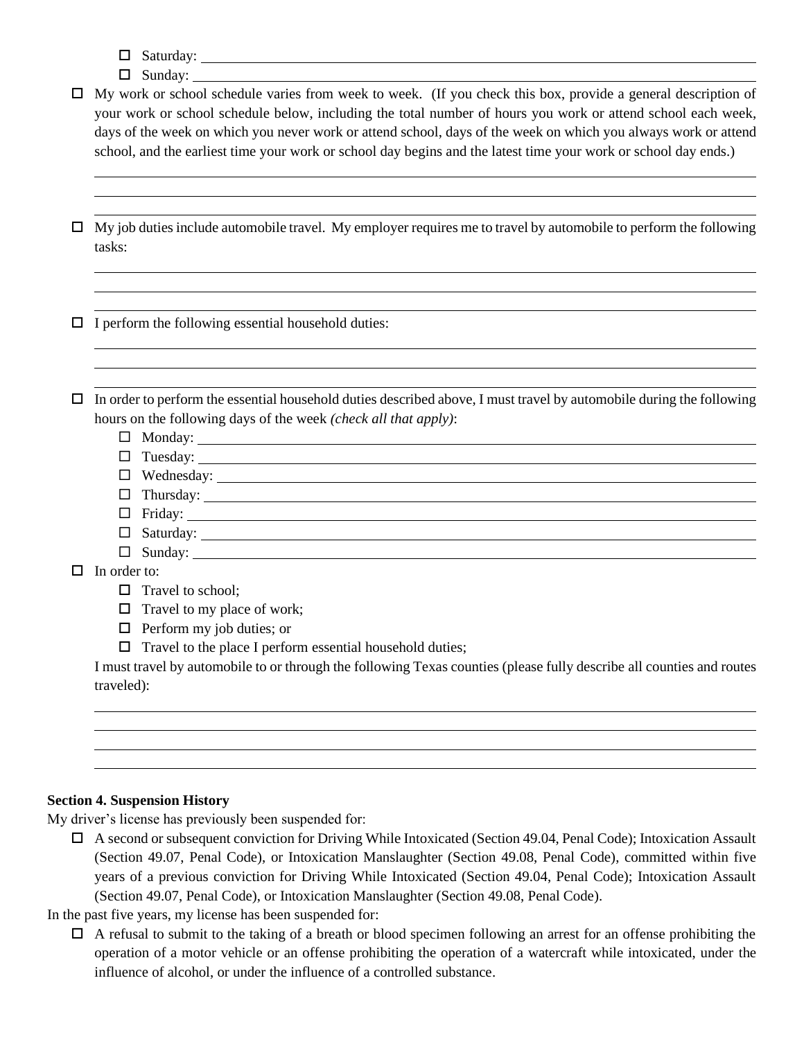- $\Box$  Saturday:
- $\Box$  Sunday:
- $\Box$  My work or school schedule varies from week to week. (If you check this box, provide a general description of your work or school schedule below, including the total number of hours you work or attend school each week, days of the week on which you never work or attend school, days of the week on which you always work or attend school, and the earliest time your work or school day begins and the latest time your work or school day ends.)

 $\Box$  My job duties include automobile travel. My employer requires me to travel by automobile to perform the following tasks:

 $\Box$  I perform the following essential household duties:

 $\Box$  In order to perform the essential household duties described above, I must travel by automobile during the following hours on the following days of the week *(check all that apply)*:

- $\Box$  Monday:  $\Box$
- $\Box$  Tuesday:  $\Box$
- Wednesday:
- Thursday:
- □ Friday: <u>2000 2000 2000 2000 2000 2000 2000 2000 2000 2000 2000 2000 2000 2000 2000 2000 2000 2000 2000 2000 2000 2000 2000 2000 2000 2000 2000 2000 2000 2000 </u>
- Saturday:
- $\Box$  Sunday:  $\Box$

 $\Box$  In order to:

- $\Box$  Travel to school;
- $\Box$  Travel to my place of work;
- $\Box$  Perform my job duties; or
- $\Box$  Travel to the place I perform essential household duties;

I must travel by automobile to or through the following Texas counties (please fully describe all counties and routes traveled):

#### **Section 4. Suspension History**

My driver's license has previously been suspended for:

- A second or subsequent conviction for Driving While Intoxicated (Section 49.04, Penal Code); Intoxication Assault (Section 49.07, Penal Code), or Intoxication Manslaughter (Section 49.08, Penal Code), committed within five years of a previous conviction for Driving While Intoxicated (Section 49.04, Penal Code); Intoxication Assault (Section 49.07, Penal Code), or Intoxication Manslaughter (Section 49.08, Penal Code).
- In the past five years, my license has been suspended for:
	- $\Box$  A refusal to submit to the taking of a breath or blood specimen following an arrest for an offense prohibiting the operation of a motor vehicle or an offense prohibiting the operation of a watercraft while intoxicated, under the influence of alcohol, or under the influence of a controlled substance.